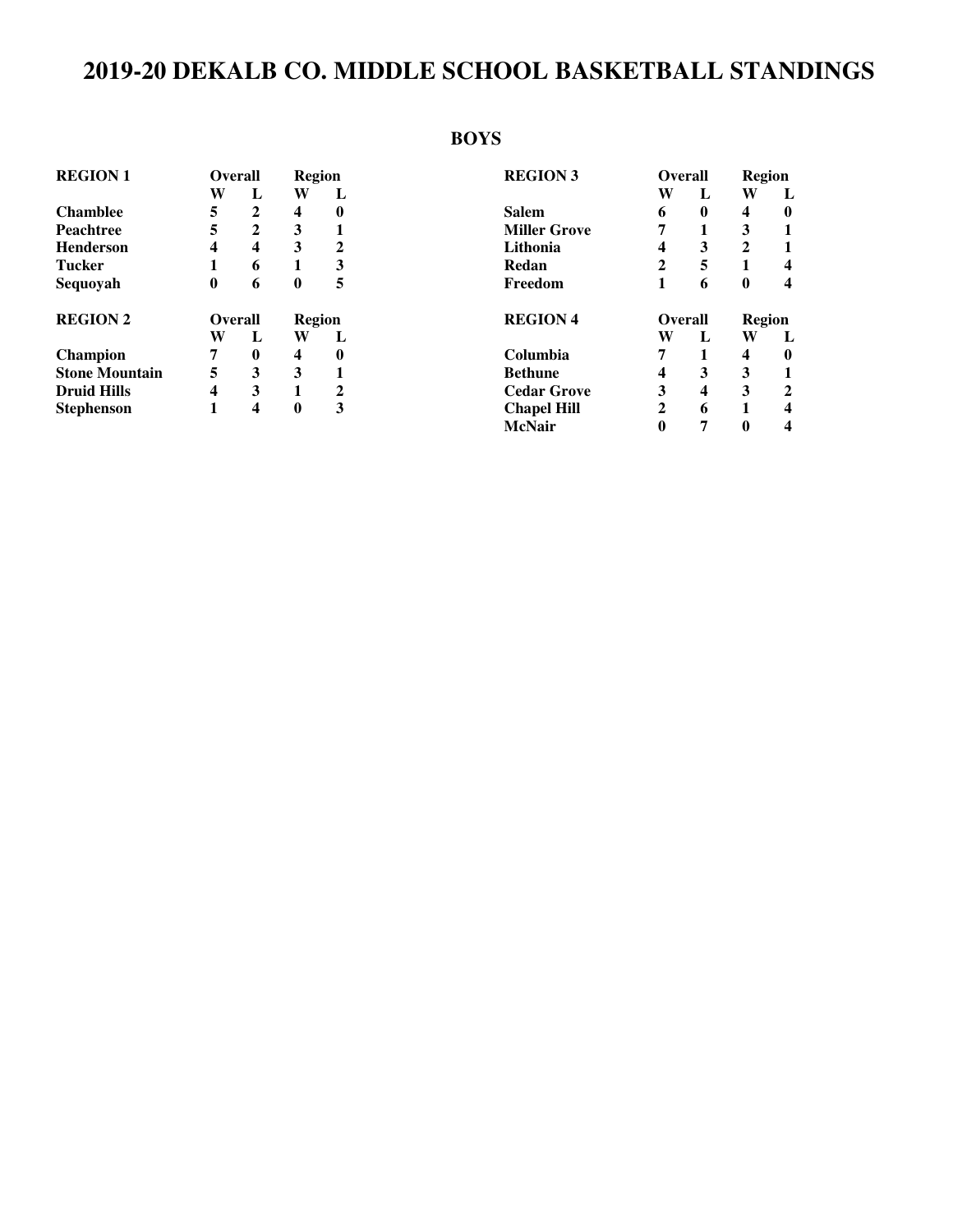# **2019-20 DEKALB CO. MIDDLE SCHOOL BASKETBALL STANDINGS**

## **BOYS**

| <b>REGION 1</b>       | <b>Overall</b> |                | <b>Region</b> |                  | <b>REGION 3</b>     | Overall        |   | Region      |              |
|-----------------------|----------------|----------------|---------------|------------------|---------------------|----------------|---|-------------|--------------|
|                       | W              | L              | W             | L                |                     | W              | L | W           | L            |
| <b>Chamblee</b>       | 5              | $\overline{2}$ | 4             | $\boldsymbol{0}$ | <b>Salem</b>        | 6              | 0 | 4           | $\bf{0}$     |
| <b>Peachtree</b>      | 5              | $\overline{2}$ | 3             |                  | <b>Miller Grove</b> |                |   | 3           |              |
| <b>Henderson</b>      | 4              | 4              | 3             | $\mathbf 2$      | Lithonia            | 4              | 3 | $\mathbf 2$ |              |
| <b>Tucker</b>         |                | 6              | 1             | 3                | Redan               | 2              | 5 |             | 4            |
| Sequoyah              | $\bf{0}$       | 6              | $\bf{0}$      | 5                | Freedom             |                | 6 | 0           | 4            |
| <b>REGION 2</b>       | <b>Overall</b> |                | Region        |                  | <b>REGION 4</b>     | <b>Overall</b> |   | Region      |              |
|                       | W              | L              | W             | L                |                     | W              | L | W           | L            |
| <b>Champion</b>       | 7              | 0              | 4             | $\bf{0}$         | Columbia            | 7              |   | 4           | 0            |
| <b>Stone Mountain</b> | 5              | 3              | 3             |                  | <b>Bethune</b>      | 4              | 3 | 3           |              |
| <b>Druid Hills</b>    | 4              | 3              | 1             | $\mathbf 2$      | <b>Cedar Grove</b>  | 3              | 4 | 3           | $\mathbf{2}$ |
| <b>Stephenson</b>     |                | 4              | $\bf{0}$      | 3                | <b>Chapel Hill</b>  | 2              | 6 |             | 4            |
|                       |                |                |               |                  | <b>McNair</b>       | 0              | 7 | 0           | 4            |